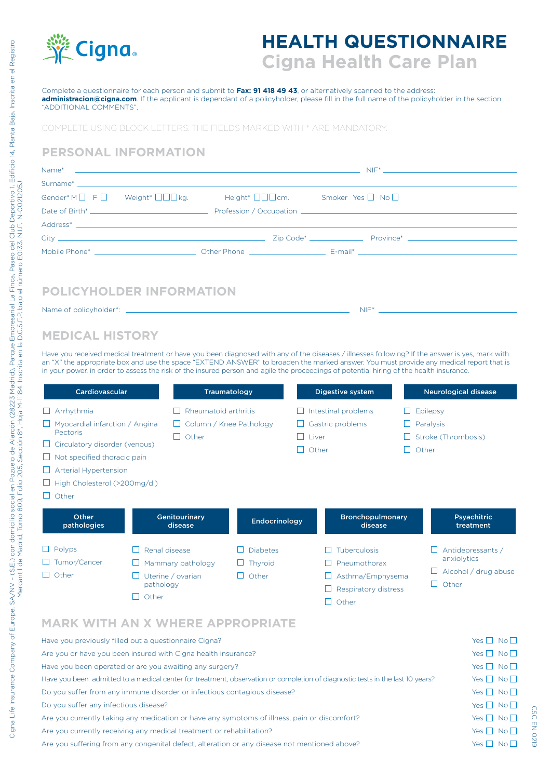

# **HEALTH QUESTIONNAIRE Cigna Health Care Plan**

NIF\*

Complete a questionnaire for each person and submit to **Fax: 91 418 49 43**, or alternatively scanned to the address: **administracion@cigna.com**. If the applicant is dependant of a policyholder, please fill in the full name of the policyholder in the section "ADDITIONAL COMMENTS".

COMPLETE USING BLOCK LETTERS. THE FIELDS MARKED WITH \* ARE MANDATORY.

#### **PERSONAL INFORMATION**

| Gender* M $\Box$ F $\Box$ Weight* $\Box\Box\Box$ Mgg, eight* $\Box\Box\Box$ Cm. Smoker Yes $\Box$ No $\Box$ |  |  |  |
|-------------------------------------------------------------------------------------------------------------|--|--|--|
|                                                                                                             |  |  |  |
|                                                                                                             |  |  |  |
|                                                                                                             |  |  |  |
|                                                                                                             |  |  |  |
|                                                                                                             |  |  |  |
|                                                                                                             |  |  |  |

## **POLICYHOLDER INFORMATION**

Name of policyholder\*: \_

**MEDICAL HISTORY**

Have you received medical treatment or have you been diagnosed with any of the diseases / illnesses following? If the answer is yes, mark with an "X" the appropriate box and use the space "EXTEND ANSWER" to broaden the marked answer. You must provide any medical report that is in your power, in order to assess the risk of the insured person and agile the proceedings of potential hiring of the health insurance.

| Cardiovascular                                                                                                                                                                                                                              |                                                                               | Traumatology                        | Digestive system                                                                                   |                                    | <b>Neurological disease</b>                                            |  |
|---------------------------------------------------------------------------------------------------------------------------------------------------------------------------------------------------------------------------------------------|-------------------------------------------------------------------------------|-------------------------------------|----------------------------------------------------------------------------------------------------|------------------------------------|------------------------------------------------------------------------|--|
| $\Box$ Arrhythmia<br>$\Box$ Myocardial infarction / Angina<br>Pectoris<br>$\Box$ Circulatory disorder (venous)<br>$\Box$ Not specified thoracic pain<br>$\Box$ Arterial Hypertension<br>$\Box$ High Cholesterol (>200mg/dl)<br>$\Box$ Other | Rheumatoid arthritis<br>Other<br>$\perp$                                      | Column / Knee Pathology             | Intestinal problems<br>Gastric problems<br>Liver<br>H<br>Other                                     | $\mathsf{L}$                       | Epilepsy<br>Paralysis<br>Stroke (Thrombosis)<br>Other                  |  |
| Other<br>pathologies                                                                                                                                                                                                                        | Genitourinary<br>disease                                                      | Endocrinology                       |                                                                                                    | <b>Bronchopulmonary</b><br>disease | <b>Psyachitric</b><br>treatment                                        |  |
| $\Box$ Polyps<br>$\Box$ Tumor/Cancer<br>$\Box$ Other                                                                                                                                                                                        | Renal disease<br>Mammary pathology<br>Uterine / ovarian<br>pathology<br>Other | <b>Diabetes</b><br>Thyroid<br>Other | <b>Tuberculosis</b><br>$\Box$<br>Pneumothorax<br>Asthma/Emphysema<br>Respiratory distress<br>Other |                                    | Antidepressants /<br>anxiolytics<br>Alcohol / drug abuse<br>П<br>Other |  |

### **MARK WITH AN X WHERE APPROPRIATE**

| Have you previously filled out a questionnaire Cigna?                                                                         | $Yes \Box No \Box$   |
|-------------------------------------------------------------------------------------------------------------------------------|----------------------|
| Are you or have you been insured with Cigna health insurance?                                                                 | Yes $\Box$ No $\Box$ |
| Have you been operated or are you awaiting any surgery?                                                                       | Yes $\Box$ No $\Box$ |
| Have you been admitted to a medical center for treatment, observation or completion of diagnostic tests in the last 10 years? | Yes $\Box$ No $\Box$ |
| Do you suffer from any immune disorder or infectious contagious disease?                                                      | Yes $\Box$ No $\Box$ |
| Do you suffer any infectious disease?                                                                                         | Yes $\Box$ No $\Box$ |
| Are you currently taking any medication or have any symptoms of illness, pain or discomfort?                                  | Yes $\Box$ No $\Box$ |
| Are you currently receiving any medical treatment or rehabilitation?                                                          | Yes $\Box$ No $\Box$ |
| Are you suffering from any congenital defect, alteration or any disease not mentioned above?                                  | Yes $\Box$ No $\Box$ |